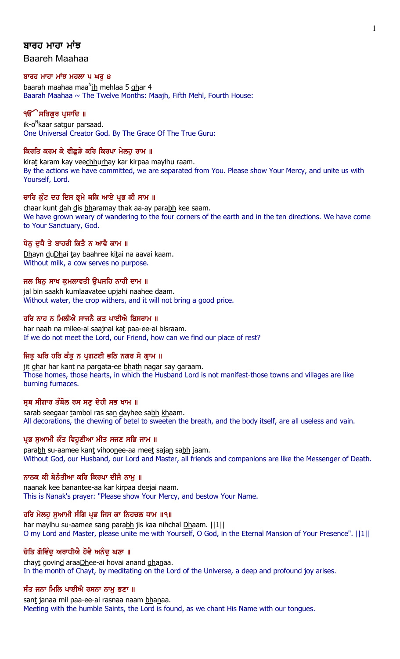# ਬਾਰਹ ਮਾਹਾ ਮਾਂਝ

Baareh Maahaa

#### ਬਾਰਹ ਮਾਹਾ ਮਾਂਝ ਮਹਲਾ ੫ ਘਰ ੪

baarah maahaa maa<sup>n</sup>ih mehlaa 5 <u>gh</u>ar 4 Baarah Maahaa  $\sim$  The Twelve Months: Maajh, Fifth Mehl, Fourth House:

## ੧**ੳੇਸਤਿਗਰ ਪ੍ਰਸਾਦਿ** ॥

ik-o<sup>n</sup>kaar sa<u>t</u>gur parsaa<u>d</u>. One Universal Creator God. By The Grace Of The True Guru:

### ਕਿਰਤਿ ਕਰਮ ਕੇ ਵੀਛੜੇ ਕਰਿ ਕਿਰਪਾ ਮੇਲਹ ਰਾਮ ॥

kirat karam kay veechhurhay kar kirpaa maylhu raam. By the actions we have committed, we are separated from You. Please show Your Mercy, and unite us with Yourself, Lord.

### ਚਾਰਿ ਕੁੰਟ ਦਹ ਦਿਸ ਭ੍ਰਮੇ ਥਕਿ ਆਏ ਪ੍ਰਭ ਕੀ ਸਾਮ ॥

chaar kunt dah dis bharamay thak aa-ay parabh kee saam. We have grown weary of wandering to the four corners of the earth and in the ten directions. We have come to Your Sanctuary, God.

### ਧੇਨੂ ਦੁਧੈ ਤੇ ਬਾਹਰੀ ਕਿਤੈ ਨ ਆਵੈ ਕਾਮ ॥

Dhayn duDhai tay baahree kitai na aavai kaam. Without milk, a cow serves no purpose.

### ਜਲ ਬਿਨ ਸਾਖ ਕਮਲਾਵਤੀ ੳਪਜਹਿ ਨਾਹੀ ਦਾਮ ॥

jal bin saakh kumlaavatee upjahi naahee daam. Without water, the crop withers, and it will not bring a good price.

## ਹਰਿ ਨਾਹ ਨ ਮਿਲੀਐ ਸਾਜਨੈ ਕਤ ਪਾਈਐ ਬਿਸਰਾਮ ॥

har naah na milee-ai saajnai kat paa-ee-ai bisraam. If we do not meet the Lord, our Friend, how can we find our place of rest?

### ਜਿਤੂ ਘਰਿ ਹਰਿ ਕੰਤੂ ਨ ਪ੍ਰਗਟਈ ਭਠਿ ਨਗਰ ਸੇ ਗ੍ਰਾਮ ॥

jit ghar har kant na pargata-ee bhath nagar say garaam. Those homes, those hearts, in which the Husband Lord is not manifest-those towns and villages are like burning furnaces.

### ਸੂਬ ਸੀਗਾਰ ਤੰਬੋਲ ਰਸ ਸਣ ਦੇਹੀ ਸਭ ਖਾਮ ॥

sarab seegaar tambol ras san dayhee sabh khaam. All decorations, the chewing of betel to sweeten the breath, and the body itself, are all useless and vain.

### ਪ੍ਰਭ ਸੁਆਮੀ ਕੰਤ ਵਿਹੁਣੀਆ ਮੀਤ ਸਜਣ ਸਭਿ ਜਾਮ ॥

parabh su-aamee kant vihoonee-aa meet sajan sabh jaam. Without God, our Husband, our Lord and Master, all friends and companions are like the Messenger of Death.

### ਨਾਨਕ ਕੀ ਬੇਨੰਤੀਆ ਕਰਿ ਕਿਰਪਾ ਦੀਜੈ ਨਾਮ ॥

naanak kee banantee-aa kar kirpaa deejai naam. This is Nanak's prayer: "Please show Your Mercy, and bestow Your Name.

# ਹਰਿ ਮੇਲਹ ਸਆਮੀ ਸੰਗਿ ਪ੍ਰਭ ਜਿਸ ਕਾ ਨਿਹਚਲ ਧਾਮ ॥੧॥

har maylhu su-aamee sang parabh jis kaa nihchal Dhaam. ||1|| O my Lord and Master, please unite me with Yourself, O God, in the Eternal Mansion of Your Presence". ||1||

## ਚੇਤਿ ਗੋਵਿੰਦ ਅਰਾਧੀਐ ਹੋਵੈ ਅਨੰਦ ਘਣਾ ॥

chayt govind araaDhee-ai hovai anand ghanaa. In the month of Chayt, by meditating on the Lord of the Universe, a deep and profound joy arises.

# ਸੰਤ ਜਨਾ ਮਿਲਿ ਪਾਈਐ ਰਸਨਾ ਨਾਮੁ ਭਣਾ ॥

sant janaa mil paa-ee-ai rasnaa naam bhanaa. Meeting with the humble Saints, the Lord is found, as we chant His Name with our tongues.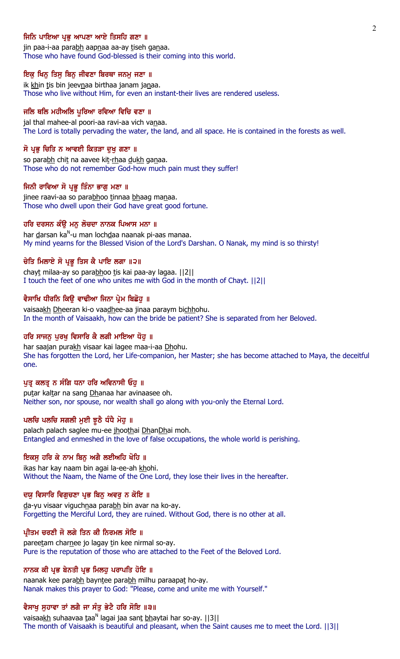### ਜਿਨਿ ਪਾਇਆ ਪ੍ਰਭ ਆਪਣਾ ਆਏ ਤਿਸਹਿ ਗਣਾ ॥

jin paa-i-aa parabh aapnaa aa-ay tiseh ganaa. Those who have found God-blessed is their coming into this world.

### ਇਕ ਖਿਨੂ ਤਿਸੂ ਬਿਨੂ ਜੀਵਣਾ ਬਿਰਥਾ ਜਨਮੂ ਜਣਾ ॥

ik khin tis bin jeevnaa birthaa janam janaa. Those who live without Him, for even an instant-their lives are rendered useless.

### ਜਲਿ ਥਲਿ ਮਹੀਅਲਿ ਪੁਰਿਆ ਰਵਿਆ ਵਿਚਿ ਵਣਾ ॥

jal thal mahee-al poori-aa ravi-aa vich vanaa. The Lord is totally pervading the water, the land, and all space. He is contained in the forests as well.

#### ਸੋ ਪ੍ਰਭ ਚਿਤਿ ਨ ਆਵਈ ਕਿਤੜਾ ਦਖ ਗਣਾ ॥

so parabh chit na aavee kit-rhaa dukh ganaa. Those who do not remember God-how much pain must they suffer!

#### ਜਿਨੀ ਰਾਵਿਆ ਸੋ ਪ੍ਰਭੂ ਤਿੰਨਾ ਭਾਗੂ ਮਣਾ ॥

jinee raavi-aa so parabhoo tinnaa bhaag manaa. Those who dwell upon their God have great good fortune.

### ਹਰਿ ਦਰਸਨ ਕੰਉ ਮਨੁ ਲੋਚਦਾ ਨਾਨਕ ਪਿਆਸ ਮਨਾ ॥

har <u>d</u>arsan ka<sup>n</sup>-u man loch<u>d</u>aa naanak pi-aas manaa. My mind yearns for the Blessed Vision of the Lord's Darshan. O Nanak, my mind is so thirsty!

### ਚੇਤਿ ਮਿਲਾਏ ਸੋ ਪ੍ਰਭੂ ਤਿਸ ਕੈ ਪਾਇ ਲਗਾ ॥੨॥

chayt milaa-ay so parabhoo tis kai paa-ay lagaa. [2] I touch the feet of one who unites me with God in the month of Chayt. ||2||

#### ਵੈਸਾਖਿ ਧੀਰਨਿ ਕਿੳ ਵਾਢੀਆ ਜਿਨਾ ਪੇਮ ਬਿਛੋਹ ॥

vaisaakh Dheeran ki-o vaadhee-aa jinaa paraym bichhohu. In the month of Vaisaakh, how can the bride be patient? She is separated from her Beloved.

# ਹਰਿ ਸਾਜਨੁ ਪੁਰਖੁ ਵਿਸਾਰਿ ਕੈ ਲਗੀ ਮਾਇਆ ਧੋਹ ॥

har saajan purakh visaar kai lagee maa-i-aa Dhohu. She has forgotten the Lord, her Life-companion, her Master; she has become attached to Maya, the deceitful one.

## ਪੁਤ੍ਰ ਕਲਤ੍ਰ ਨ ਸੰਗਿ ਧਨਾ ਹਰਿ ਅਵਿਨਾਸੀ ਓਹੁ ॥

putar kaltar na sang Dhanaa har avinaasee oh. Neither son, nor spouse, nor wealth shall go along with you-only the Eternal Lord.

## ਪਲਚਿ ਪਲਚਿ ਸਗਲੀ ਮੁਈ ਝੁਠੈ ਧੰਧੈ ਮੋਹੁ ॥

palach palach saglee mu-ee jhoothai DhanDhai moh. Entangled and enmeshed in the love of false occupations, the whole world is perishing.

### ਇਕਸੂ ਹਰਿ ਕੇ ਨਾਮ ਬਿਨੂ ਅਗੈ ਲਈਅਹਿ ਖੋਹਿ ॥

ikas har kay naam bin agai la-ee-ah khohi. Without the Naam, the Name of the One Lord, they lose their lives in the hereafter.

### ਦਯੁ ਵਿਸਾਰਿ ਵਿਗੁਚਣਾ ਪ੍ਰਭ ਬਿਨੁ ਅਵਰੁ ਨ ਕੋਇ ॥

da-yu visaar viguchnaa parabh bin avar na ko-ay. Forgetting the Merciful Lord, they are ruined. Without God, there is no other at all.

### ਪੀਤਮ ਚਰਣੀ ਜੋ ਲਗੇ ਤਿਨ ਕੀ ਨਿਰਮਲ ਸੋਇ ॥

pareetam charnee jo lagay tin kee nirmal so-ay. Pure is the reputation of those who are attached to the Feet of the Beloved Lord.

## ਨਾਨਕ ਕੀ ਪ੍ਰਭ ਬੇਨਤੀ ਪ੍ਰਭ ਮਿਲਹੂ ਪਰਾਪਤਿ ਹੋਇ ॥

naanak kee parabh bayntee parabh milhu paraapat ho-ay. Nanak makes this prayer to God: "Please, come and unite me with Yourself."

## ਵੈਸਾਖੂ ਸੁਹਾਵਾ ਤਾਂ ਲਗੈ ਜਾ ਸੰਤੂ ਭੇਟੈ ਹਰਿ ਸੋਇ ॥੩॥

vaisaa<u>kh</u> suhaavaa taa<sup>n</sup> lagai jaa sant <u>bh</u>aytai har so-ay. [[3]] The month of Vaisaakh is beautiful and pleasant, when the Saint causes me to meet the Lord. ||3||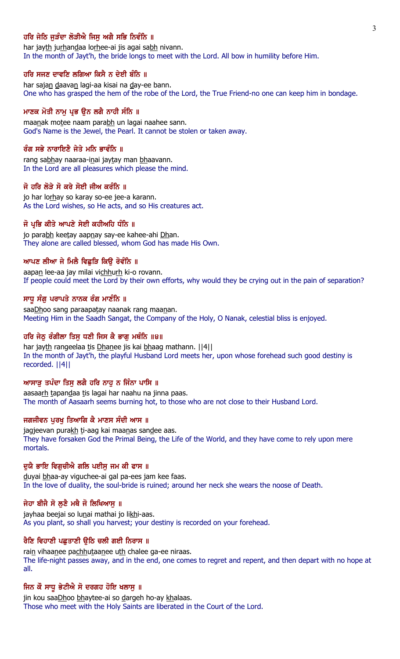## ਹਰਿ ਜੇਠਿ ਜੜੰਦਾ ਲੋੜੀਐ ਜਿਸ ਅਗੈ ਸਭਿ ਨਿਵੰਨਿ ॥

har jayth jurhandaa lorhee-ai jis agai sabh nivann. In the month of Jayt'h, the bride longs to meet with the Lord. All bow in humility before Him.

### ਹਰਿ ਸਜਣ ਦਾਵਣਿ ਲਗਿਆ ਕਿਸੈ ਨ ਦੇਈ ਬੰਨਿ ॥

har sajan daavan lagi-aa kisai na day-ee bann. One who has grasped the hem of the robe of the Lord, the True Friend-no one can keep him in bondage.

## ਮਾਣਕ ਮੋਤੀ ਨਾਮੂ ਪ੍ਰਭ ਉਨ ਲਗੈ ਨਾਹੀ ਸੰਨਿ ॥

maanak motee naam parabh un lagai naahee sann. God's Name is the Jewel, the Pearl. It cannot be stolen or taken away.

# ਰੰਗ ਸਭੇ ਨਾਰਾਇਣੈ ਜੇਤੇ ਮਨਿ ਭਾਵੰਨਿ ॥

rang sabhay naaraa-inai jaytay man bhaavann. In the Lord are all pleasures which please the mind.

#### ਜੋ ਹਰਿ ਲੋੜੇ ਸੋ ਕਰੇ ਸੋਈ ਜੀਅ ਕਰੰਨਿ ॥

jo har lorhay so karay so-ee jee-a karann. As the Lord wishes, so He acts, and so His creatures act.

### ਜੋ ਪ੍ਰਭਿ ਕੀਤੇ ਆਪਣੇ ਸੇਈ ਕਹੀਅਹਿ ਧੰਨਿ ॥

jo parabh keetay aapnay say-ee kahee-ahi Dhan. They alone are called blessed, whom God has made His Own.

### ਆਪਣ ਲੀਆ ਜੇ ਮਿਲੈ ਵਿਛੜਿ ਕਿੳ ਰੋਵੰਨਿ ॥

aapan lee-aa jay milai vichhurh ki-o rovann. If people could meet the Lord by their own efforts, why would they be crying out in the pain of separation?

#### ਸਾਧੂ ਸੰਗੂ ਪਰਾਪਤੇ ਨਾਨਕ ਰੰਗ ਮਾਣੰਨਿ ॥

saaDhoo sang paraapatay naanak rang maanan. Meeting Him in the Saadh Sangat, the Company of the Holy, O Nanak, celestial bliss is enjoyed.

## ਹਰਿ ਜੇਠ ਰੰਗੀਲਾ ਤਿਸ ਧਣੀ ਜਿਸ ਕੈ ਭਾਗ ਮਥੰਨਿ ॥੪॥

har jayth rangeelaa tis Dhanee jis kai bhaag mathann. ||4|| In the month of Jayt'h, the playful Husband Lord meets her, upon whose forehead such good destiny is recorded. ||4||

### ਆਸਾੜ ਤਪੰਦਾ ਤਿਸ ਲਗੈ ਹਰਿ ਨਾਹ ਨ ਜਿੰਨਾ ਪਾਸਿ ॥

aasaarh tapandaa tis lagai har naahu na jinna paas. The month of Aasaarh seems burning hot, to those who are not close to their Husband Lord.

## ਜਗਜੀਵਨ ਪਰਖ ਤਿਆਗਿ ਕੈ ਮਾਣਸ ਸੰਦੀ ਆਸ ॥

jagjeevan purakh ti-aag kai maanas sandee aas. They have forsaken God the Primal Being, the Life of the World, and they have come to rely upon mere mortals.

#### ਦਯੈ ਭਾਇ ਵਿਗਚੀਐ ਗਲਿ ਪਈਸ ਜਮ ਕੀ ਫਾਸ ॥

duyai bhaa-ay viguchee-ai gal pa-ees jam kee faas. In the love of duality, the soul-bride is ruined; around her neck she wears the noose of Death.

# ਜੇਹਾ ਬੀਜੈ ਸੋ ਲੁਣੈ ਮਥੈ ਜੋ ਲਿਖਿਆਸੁ ॥

jayhaa beejai so lunai mathai jo likhi-aas. As you plant, so shall you harvest; your destiny is recorded on your forehead.

### ਰੈਣਿ ਵਿਹਾਣੀ ਪਛੁਤਾਣੀ ਉਠਿ ਚਲੀ ਗਈ ਨਿਰਾਸ ॥

rain vihaanee pachhutaanee uth chalee ga-ee niraas. The life-night passes away, and in the end, one comes to regret and repent, and then depart with no hope at all.

### ਜਿਨ ਕੌ ਸਾਧੁ ਭੇਟੀਐ ਸੋ ਦਰਗਹ ਹੋਇ ਖਲਾਸੁ ॥

jin kou saaDhoo bhaytee-ai so dargeh ho-ay khalaas. Those who meet with the Holy Saints are liberated in the Court of the Lord.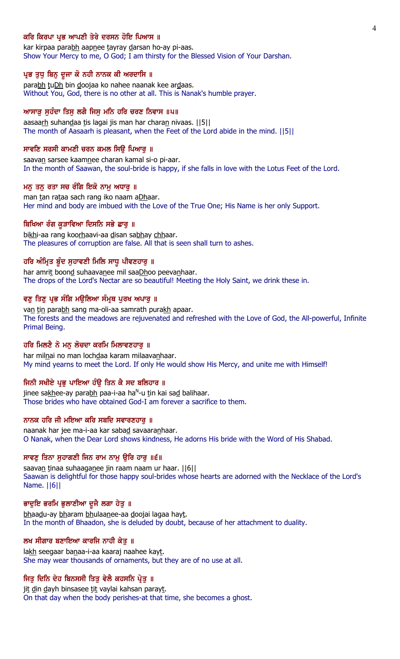### ਕਰਿ ਕਿਰਪਾ ਪ੍ਰਭ ਆਪਣੀ ਤੇਰੇ ਦਰਸਨ ਹੋਇ ਪਿਆਸ ॥

kar kirpaa parabh aapnee tayray darsan ho-ay pi-aas. Show Your Mercy to me, O God; I am thirsty for the Blessed Vision of Your Darshan.

#### ਪ੍ਰਭ ਤੁਧ ਬਿਨੂ ਦੂਜਾ ਕੋ ਨਹੀ ਨਾਨਕ ਕੀ ਅਰਦਾਸਿ ॥

parabh tuDh bin doojaa ko nahee naanak kee ardaas. Without You, God, there is no other at all. This is Nanak's humble prayer.

## ਆਸਾੜ ਸੁਹੰਦਾ ਤਿਸੁ ਲਗੈ ਜਿਸੁ ਮਨਿ ਹਰਿ ਚਰਣ ਨਿਵਾਸ ॥੫॥

aasaarh suhandaa tis lagai jis man har charan nivaas. [[5]] The month of Aasaarh is pleasant, when the Feet of the Lord abide in the mind. ||5||

#### ਸਾਵਣਿ ਸਰਸੀ ਕਾਮਣੀ ਚਰਨ ਕਮਲ ਸਿੳ ਪਿਆਰ ॥

saavan sarsee kaamnee charan kamal si-o pi-aar. In the month of Saawan, the soul-bride is happy, if she falls in love with the Lotus Feet of the Lord.

#### ਮਨ ਤਨ ਰਤਾ ਸਚ ਰੰਗਿ ਇਕੋ ਨਾਮ ਅਧਾਰ ॥

man tan rataa sach rang iko naam aDhaar. Her mind and body are imbued with the Love of the True One; His Name is her only Support.

### ਬਿਖਿਆ ਰੰਗ ਕੁੜਾਵਿਆ ਦਿਸਨਿ ਸਭੇ ਛਾਰੂ ॥

bikhi-aa rang koorhaavi-aa disan sabhay chhaar. The pleasures of corruption are false. All that is seen shall turn to ashes.

## ਹਰਿ ਅੰਮ੍ਰਿਤ ਬੰਦ ਸਹਾਵਣੀ ਮਿਲਿ ਸਾਧੂ ਪੀਵਣਹਾਰ ॥

har amrit boond suhaavanee mil saaDhoo peevanhaar. The drops of the Lord's Nectar are so beautiful! Meeting the Holy Saint, we drink these in.

### ਵਣੂ ਤਿਣੂ ਪ੍ਰਭ ਸੰਗਿ ਮਉਲਿਆ ਸੰਮੁਥ ਪੂਰਖ ਅਪਾਰੂ ॥

van tin parabh sang ma-oli-aa samrath purakh apaar. The forests and the meadows are rejuvenated and refreshed with the Love of God, the All-powerful, Infinite Primal Being.

### ਹਰਿ ਮਿਲਣੈ ਨੋ ਮਨੁ ਲੋਚਦਾ ਕਰਮਿ ਮਿਲਾਵਣਹਾਰੁ ॥

har milnai no man lochdaa karam milaavanhaar. My mind yearns to meet the Lord. If only He would show His Mercy, and unite me with Himself!

#### ਜਿਨੀ ਸਖੀਏ ਪ੍ਰਭ ਪਾਇਆ ਹੰੳ ਤਿਨ ਕੈ ਸਦ ਬਲਿਹਾਰ ॥

jinee sa<u>kh</u>ee-ay para<u>bh</u> paa-i-aa ha<sup>n</sup>-u <u>t</u>in kai sa<u>d</u> balihaar. Those brides who have obtained God-I am forever a sacrifice to them.

# ਨਾਨਕ ਹਰਿ ਜੀ ਮਇਆ ਕਰਿ ਸਬਦਿ ਸਵਾਰਣਹਾਰ ॥

naanak har jee ma-i-aa kar sabad savaaranhaar. O Nanak, when the Dear Lord shows kindness, He adorns His bride with the Word of His Shabad.

### ਸਾਵਣੂ ਤਿਨਾ ਸੁਹਾਗਣੀ ਜਿਨ ਰਾਮ ਨਾਮੂ ਉਰਿ ਹਾਰੂ ॥੬॥

saavan tinaa suhaaganee jin raam naam ur haar. [6] Saawan is delightful for those happy soul-brides whose hearts are adorned with the Necklace of the Lord's Name. ||6||

#### ਭਾਦੁਇ ਭਰਮਿ ਭੁਲਾਣੀਆ ਦੂਜੈ ਲਗਾ ਹੇਤੁ ॥

bhaadu-ay bharam bhulaanee-aa doojai lagaa hayt. In the month of Bhaadon, she is deluded by doubt, because of her attachment to duality.

### ਲਖ ਸੀਗਾਰ ਬਣਾਇਆ ਕਾਰਜਿ ਨਾਹੀ ਕੇਤੁ ॥

lakh seegaar banaa-i-aa kaaraj naahee kayt. She may wear thousands of ornaments, but they are of no use at all.

### ਜਿਤੂ ਦਿਨਿ ਦੇਹ ਬਿਨਸਸੀ ਤਿਤੂ ਵੇਲੈ ਕਹਸਨਿ ਪ੍ਰੇਤੂ ॥

jit din dayh binsasee tit vaylai kahsan parayt. On that day when the body perishes-at that time, she becomes a ghost.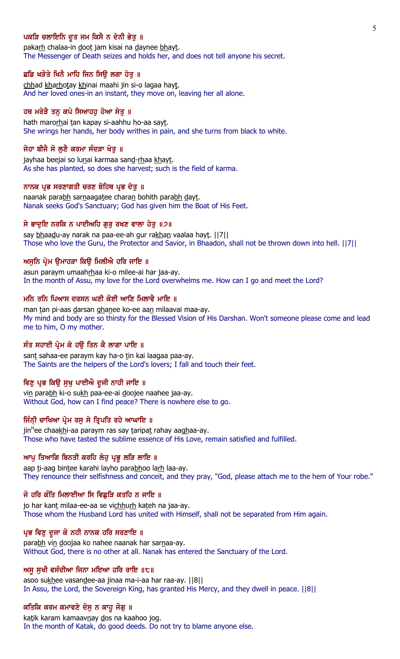## ਪਕੜਿ ਚਲਾਇਨਿ ਦੁਤ ਜਮ ਕਿਸੈ ਨ ਦੇਨੀ ਭੇਤੁ ॥

pakarh chalaa-in doot jam kisai na daynee bhayt. The Messenger of Death seizes and holds her, and does not tell anyone his secret.

### ਛਡਿ ਖੜੋਤੇ ਖਿਨੈ ਮਾਹਿ ਜਿਨ ਸਿਉ ਲਗਾ ਹੇਤੁ ॥

chhad kharhotay khinai maahi jin si-o lagaa hayt. And her loved ones-in an instant, they move on, leaving her all alone.

# ਹਥ ਮਰੋੜੈ ਤਨੂ ਕਪੇ ਸਿਆਹਹੂ ਹੋਆ ਸੇਤੂ ॥

hath marorhai tan kapay si-aahhu ho-aa sayt. She wrings her hands, her body writhes in pain, and she turns from black to white.

## ਜੇਹਾ ਬੀਜੈ ਸੋ ਲਣੈ ਕਰਮਾ ਸੰਦੜਾ ਖੇਤ ॥

jayhaa beejai so lunai karmaa sand-rhaa khayt. As she has planted, so does she harvest; such is the field of karma.

### ਨਾਨਕ ਪਭ ਸਰਣਾਗਤੀ ਚਰਣ ਬੋਹਿਥ ਪਭ ਦੇਤ ॥

naanak parabh sarnaagatee charan bohith parabh dayt. Nanak seeks God's Sanctuary; God has given him the Boat of His Feet.

## ਸੇ ਭਾਦੁਇ ਨਰਕਿ ਨ ਪਾਈਅਹਿ ਗੁਰੁ ਰਖਣ ਵਾਲਾ ਹੇਤੁ ॥੭॥

say bhaadu-ay narak na paa-ee-ah gur rakhan vaalaa hayt. ||7|| Those who love the Guru, the Protector and Savior, in Bhaadon, shall not be thrown down into hell. ||7||

### ਅਸਨਿ ਪ੍ਰੇਮ ੳਮਾਹੜਾ ਕਿੳ ਮਿਲੀਐ ਹਰਿ ਜਾਇ ॥

asun paraym umaahrhaa ki-o milee-ai har jaa-ay. In the month of Assu, my love for the Lord overwhelms me. How can I go and meet the Lord?

#### ਮਨਿ ਤਨਿ ਪਿਆਸ ਦਰਸਨ ਘਣੀ ਕੋਈ ਆਣਿ ਮਿਲਾਵੈ ਮਾਇ ॥

man tan pi-aas darsan ghanee ko-ee aan milaavai maa-ay. My mind and body are so thirsty for the Blessed Vision of His Darshan. Won't someone please come and lead me to him, O my mother.

## ਸੰਤ ਸਹਾਈ ਪ੍ਰੇਮ ਕੇ ਹਉ ਤਿਨ ਕੈ ਲਾਗਾ ਪਾਇ ॥

sant sahaa-ee paraym kay ha-o tin kai laagaa paa-ay. The Saints are the helpers of the Lord's lovers; I fall and touch their feet.

#### ਵਿਣੁ ਪ੍ਰਭ ਕਿਉ ਸੁਖੁ ਪਾਈਐ ਦੂਜੀ ਨਾਹੀ ਜਾਇ ॥

vin parabh ki-o sukh paa-ee-ai doojee naahee jaa-ay. Without God, how can I find peace? There is nowhere else to go.

## ਜਿੰਨੀ ਚਾਖਿਆ ਪ੍ਰੇਮ ਰਸੂ ਸੇ ਤ੍ਰਿਪਤਿ ਰਹੇ ਆਘਾਇ ॥

jin<sup>H</sup>ee chaa<u>kh</u>i-aa paraym ras say <u>t</u>aripa<u>t</u> rahay aa<u>gh</u>aa-ay. Those who have tasted the sublime essence of His Love, remain satisfied and fulfilled.

#### ਆਪੂ ਤਿਆਗਿ ਬਿਨਤੀ ਕਰਹਿ ਲੇਹੂ ਪ੍ਰਭੂ ਲੜਿ ਲਾਇ ॥

aap ti-aag bintee karahi layho parabhoo larh laa-ay. They renounce their selfishness and conceit, and they pray, "God, please attach me to the hem of Your robe."

### ਜੋ ਹਰਿ ਕੰਤਿ ਮਿਲਾਈਆ ਸਿ ਵਿਛੜਿ ਕਤਹਿ ਨ ਜਾਇ ॥

jo har kant milaa-ee-aa se vichhurh kateh na jaa-ay. Those whom the Husband Lord has united with Himself, shall not be separated from Him again.

### ਪ੍ਰਭ ਵਿਣੁ ਦੂਜਾ ਕੋ ਨਹੀ ਨਾਨਕ ਹਰਿ ਸਰਣਾਇ ॥

parabh vin doojaa ko nahee naanak har sarnaa-ay. Without God, there is no other at all. Nanak has entered the Sanctuary of the Lord.

### ਅਸੁ ਸੁਖੀ ਵਸੰਦੀਆ ਜਿਨਾ ਮਇਆ ਹਰਿ ਰਾਇ ॥੮॥

asoo sukhee vasandee-aa jinaa ma-i-aa har raa-ay. ||8|| In Assu, the Lord, the Sovereign King, has granted His Mercy, and they dwell in peace. ||8||

#### ਕਤਿਕਿ ਕਰਮ ਕਮਾਵਣੇ ਦੋਸੂ ਨ ਕਾਹੂ ਜੋਗੂ ॥

katik karam kamaavnay dos na kaahoo jog. In the month of Katak, do good deeds. Do not try to blame anyone else.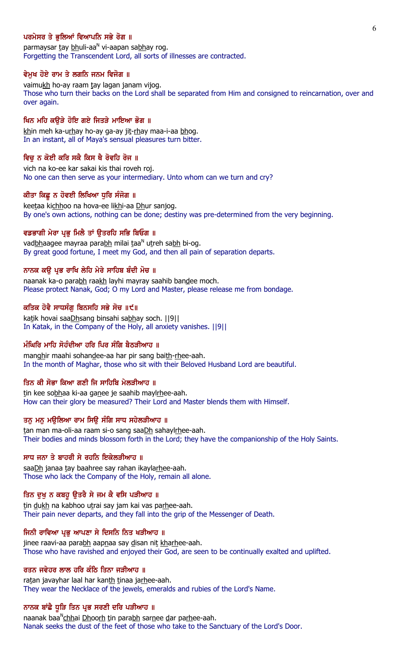# ਪਰਮੇਸਰ ਤੇ ਭਲਿਆਂ ਵਿਆਪਨਿ ਸਭੇ ਰੋਗ ॥

parmaysar <u>t</u>ay <u>bh</u>uli-aa<sup>n</sup> vi-aapan sa<u>bh</u>ay rog. Forgetting the Transcendent Lord, all sorts of illnesses are contracted.

### ਵੇਮੁਖ ਹੋਏ ਰਾਮ ਤੇ ਲਗਨਿ ਜਨਮ ਵਿਜੋਗ ॥

vaimukh ho-ay raam tay lagan janam vijog. Those who turn their backs on the Lord shall be separated from Him and consigned to reincarnation, over and over again.

### ਖਿਨ ਮਹਿ ਕੳੜੇ ਹੋਇ ਗਏ ਜਿਤੜੇ ਮਾਇਆ ਭੋਗ ॥

khin meh ka-urhay ho-ay ga-ay jit-rhay maa-i-aa bhog. In an instant, all of Maya's sensual pleasures turn bitter.

## ਵਿਚੂ ਨ ਕੋਈ ਕਰਿ ਸਕੈ ਕਿਸ ਥੈ ਰੋਵਹਿ ਰੋਜ ॥

vich na ko-ee kar sakai kis thai roveh roj. No one can then serve as your intermediary. Unto whom can we turn and cry?

#### ਕੀਤਾ ਕਿਛ ਨ ਹੋਵਈ ਲਿਖਿਆ ਧਰਿ ਸੰਜੋਗ ॥

keetaa kichhoo na hova-ee likhi-aa Dhur sanjog. By one's own actions, nothing can be done; destiny was pre-determined from the very beginning.

### ਵਡਭਾਗੀ ਮੇਰਾ ਪਭ ਮਿਲੈ ਤਾਂ ੳਤਰਹਿ ਸਭਿ ਬਿਓਗ ॥

vad<u>bh</u>aagee mayraa para<u>bh</u> milai taa<sup>n</sup> utreh sa<u>bh</u> bi-og. By great good fortune, I meet my God, and then all pain of separation departs.

### ਨਾਨਕ ਕੳ ਪਭ ਰਾਖਿ ਲੇਹਿ ਮੇਰੇ ਸਾਹਿਬ ਬੰਦੀ ਮੋਚ ॥

naanak ka-o parabh raakh layhi mayray saahib bandee moch. Please protect Nanak, God; O my Lord and Master, please release me from bondage.

## ਕਤਿਕ ਹੋਵੈ ਸਾਧਸੰਗ ਬਿਨਸਹਿ ਸਭੇ ਸੋਚ ॥੯॥

katik hovai saaDhsang binsahi sabhay soch. ||9|| In Katak, in the Company of the Holy, all anxiety vanishes. ||9||

# ਮੰਘਿਰਿ ਮਾਹਿ ਸੋਹੰਦੀਆ ਹਰਿ ਪਿਰ ਸੰਗਿ ਬੈਠੜੀਆਹ ॥

manghir maahi sohandee-aa har pir sang baith-rhee-aah. In the month of Maghar, those who sit with their Beloved Husband Lord are beautiful.

## ਤਿਨ ਕੀ ਸੋਭਾ ਕਿਆ ਗਣੀ ਜਿ ਸਾਹਿਬਿ ਮੇਲੜੀਆਹ ॥

tin kee sobhaa ki-aa ganee je saahib maylrhee-aah. How can their glory be measured? Their Lord and Master blends them with Himself.

# ਤਨ ਮਨ ਮੳਲਿਆ ਰਾਮ ਸਿੳ ਸੰਗਿ ਸਾਧ ਸਹੇਲੜੀਆਹ ॥

tan man ma-oli-aa raam si-o sang saaDh sahaylrhee-aah. Their bodies and minds blossom forth in the Lord; they have the companionship of the Holy Saints.

### ਸਾਧ ਜਨਾ ਤੇ ਬਾਹਰੀ ਸੇ ਰਹਨਿ ਇਕੇਲੜੀਆਹ ॥

saaDh janaa tay baahree say rahan ikaylarhee-aah. Those who lack the Company of the Holy, remain all alone.

## ਤਿਨ ਦਖ ਨ ਕਬਹੁ ੳਤਰੈ ਸੇ ਜਮ ਕੈ ਵਸਿ ਪੜੀਆਹ ॥

tin dukh na kabhoo utrai say jam kai vas parhee-aah. Their pain never departs, and they fall into the grip of the Messenger of Death.

## ਜਿਨੀ ਰਾਵਿਆ ਪ੍ਰਭੂ ਆਪਣਾ ਸੇ ਦਿਸਨਿ ਨਿਤ ਖੜੀਆਹ ॥

jinee raavi-aa parabh aapnaa say disan nit kharhee-aah. Those who have ravished and enjoyed their God, are seen to be continually exalted and uplifted.

### ਰਤਨ ਜਵੇਹਰ ਲਾਲ ਹਰਿ ਕੰਠਿ ਤਿਨਾ ਜੜੀਆਹ ॥

ratan javayhar laal har kanth tinaa jarhee-aah. They wear the Necklace of the jewels, emeralds and rubies of the Lord's Name.

#### ਨਾਨਕ ਬਾਂਛੇ ਧੁੜਿ ਤਿਨ ਪ੍ਰਭ ਸਰਣੀ ਦਰਿ ਪੜੀਆਹ ॥

naanak baa<sup>n</sup><u>chh</u>ai <u>Dhoorh t</u>in para<u>bh</u> sarnee dar parhee-aah. Nanak seeks the dust of the feet of those who take to the Sanctuary of the Lord's Door.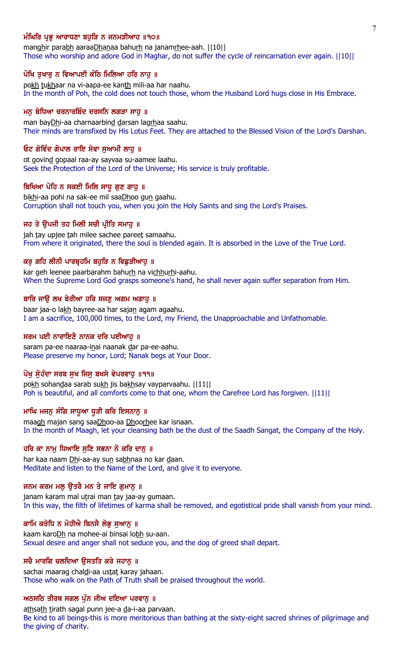# ਮੰਘਿਰਿ ਪ੍ਰਭ ਆਰਾਧਣਾ ਬਹੜਿ ਨ ਜਨਮੜੀਆਹ ॥੧੦॥

manghir parabh aaraaDhanaa bahurh na janamrhee-aah. ||10|| Those who worship and adore God in Maghar, do not suffer the cycle of reincarnation ever again. ||10||

### ਪੋਖਿ ਤੁਖਾਰੂ ਨ ਵਿਆਪਈ ਕੰਠਿ ਮਿਲਿਆ ਹਰਿ ਨਾਹੂ ॥

pokh tukhaar na vi-aapa-ee kanth mili-aa har naahu. In the month of Poh, the cold does not touch those, whom the Husband Lord hugs close in His Embrace.

### ਮਨੂ ਬੇਧਿਆ ਚਰਨਾਰਬਿੰਦ ਦਰਸਨਿ ਲਗੜਾ ਸਾਹੂ ॥

man bayDhi-aa charnaarbind darsan lagrhaa saahu. Their minds are transfixed by His Lotus Feet. They are attached to the Blessed Vision of the Lord's Darshan.

#### ਓਟ ਗੋਵਿੰਦ ਗੋਪਾਲ ਰਾਇ ਸੇਵਾ ਸਆਮੀ ਲਾਹ ॥

ot govind gopaal raa-ay sayvaa su-aamee laahu. Seek the Protection of the Lord of the Universe; His service is truly profitable.

#### ਬਿਖਿਆ ਪੋਹਿ ਨ ਸਕਈ ਮਿਲਿ ਸਾਧੂ ਗੁਣ ਗਾਹੁ ॥

bikhi-aa pohi na sak-ee mil saaDhoo gun gaahu. Corruption shall not touch you, when you join the Holy Saints and sing the Lord's Praises.

#### ਜਹ ਤੇ ਉਪਜੀ ਤਹ ਮਿਲੀ ਸਚੀ ਪ੍ਰੀਤਿ ਸਮਾਹੂ ॥

jah tay upjee tah milee sachee pareet samaahu. From where it originated, there the soul is blended again. It is absorbed in the Love of the True Lord.

## ਕਰ ਗਹਿ ਲੀਨੀ ਪਾਰਬੁਹਮਿ ਬਹੜਿ ਨ ਵਿਛੜੀਆਹ ॥

kar geh leenee paarbarahm bahurh na vichhurhi-aahu. When the Supreme Lord God grasps someone's hand, he shall never again suffer separation from Him.

### ਬਾਰਿ ਜਾੳ ਲਖ ਬੇਰੀਆ ਹਰਿ ਸਜਣ ਅਗਮ ਅਗਾਹ ॥

baar jaa-o lakh bayree-aa har sajan agam agaahu. I am a sacrifice, 100,000 times, to the Lord, my Friend, the Unapproachable and Unfathomable.

#### ਸਰਮ ਪਈ ਨਾਰਾਇਣੈ ਨਾਨਕ ਦਰਿ ਪਈਆਹ ॥

saram pa-ee naaraa-inai naanak dar pa-ee-aahu. Please preserve my honor, Lord; Nanak begs at Your Door.

# ਪੋਖ ਸੋਹੰਦਾ ਸਰਬ ਸਖ ਜਿਸ ਬਖਸੇ ਵੇਪਰਵਾਹ ॥੧੧॥

pokh sohandaa sarab sukh jis bakhsay vayparvaahu. ||11|| Poh is beautiful, and all comforts come to that one, whom the Carefree Lord has forgiven.  $||11||$ 

### ਮਾਘਿ ਮਜਨੂ ਸੰਗਿ ਸਾਧੁਆ ਧੁੜੀ ਕਰਿ ਇਸਨਾਨੂ ॥

maagh majan sang saaDhoo-aa Dhoorhee kar isnaan. In the month of Maagh, let your cleansing bath be the dust of the Saadh Sangat, the Company of the Holy.

### ਹਰਿ ਕਾ ਨਾਮ ਧਿਆਇ ਸਣਿ ਸਭਨਾ ਨੋ ਕਰਿ ਦਾਨ ॥

har kaa naam Dhi-aa-ay sun sabhnaa no kar daan. Meditate and listen to the Name of the Lord, and give it to everyone.

### ਜਨਮ ਕਰਮ ਮਲੂ ਉਤਰੈ ਮਨ ਤੇ ਜਾਇ ਗੁਮਾਨੂ ॥

janam karam mal utrai man tay jaa-ay gumaan. In this way, the filth of lifetimes of karma shall be removed, and egotistical pride shall vanish from your mind.

## ਕਾਮਿ ਕਰੋਧਿ ਨ ਮੋਹੀਐ ਬਿਨਸੈ ਲੋਭੂ ਸੁਆਨੂ ॥

kaam karoDh na mohee-ai binsai lobh su-aan. Sexual desire and anger shall not seduce you, and the dog of greed shall depart.

### ਸਚੈ ਮਾਰਗਿ ਚਲਦਿਆ ਉਸਤਤਿ ਕਰੇ ਜਹਾਨੂ ॥

sachai maarag chaldi-aa ustat karay jahaan. Those who walk on the Path of Truth shall be praised throughout the world.

### ਅਠਸਠਿ ਤੀਰਥ ਸਗਲ ਪੁੰਨ ਜੀਅ ਦਇਆ ਪਰਵਾਨੂ ॥

athsath tirath sagal punn jee-a da-i-aa parvaan. Be kind to all beings-this is more meritorious than bathing at the sixty-eight sacred shrines of pilgrimage and the giving of charity.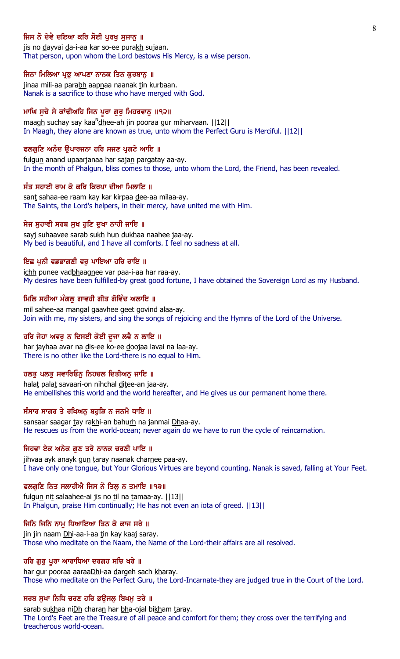# ਜਿਸ ਨੋ ਦੇਵੈ ਦਇਆ ਕਰਿ ਸੋਈ ਪਰਖ ਸਜਾਨ ॥

jis no dayvai da-i-aa kar so-ee purakh sujaan. That person, upon whom the Lord bestows His Mercy, is a wise person.

#### ਜਿਨਾ ਮਿਲਿਆ ਪ੍ਰਭੂ ਆਪਣਾ ਨਾਨਕ ਤਿਨ ਕੁਰਬਾਨੂ ॥

jinaa mili-aa parabh aapnaa naanak tin kurbaan. Nanak is a sacrifice to those who have merged with God.

## ਮਾਘਿ ਸੁਚੇ ਸੇ ਕਾਂਢੀਅਹਿ ਜਿਨ ਪੁਰਾ ਗੁਰੂ ਮਿਹਰਵਾਨੂ ॥੧੨॥

maagh suchay say kaa<sup>n</sup>dhee-ah jin pooraa gur miharvaan. ||12|| In Maagh, they alone are known as true, unto whom the Perfect Guru is Merciful. ||12||

#### ਫਲਗਣਿ ਅਨੰਦ ੳਪਾਰਜਨਾ ਹਰਿ ਸਜਣ ਪੁਗਟੇ ਆਇ ॥

fulgun anand upaarjanaa har sajan pargatay aa-ay. In the month of Phalgun, bliss comes to those, unto whom the Lord, the Friend, has been revealed.

### ਸੰਤ ਸਹਾਈ ਰਾਮ ਕੇ ਕਰਿ ਕਿਰਪਾ ਦੀਆ ਮਿਲਾਇ ॥

sant sahaa-ee raam kay kar kirpaa dee-aa milaa-ay. The Saints, the Lord's helpers, in their mercy, have united me with Him.

#### ਸੇਜ ਸੁਹਾਵੀ ਸਰਬ ਸੁਖ ਹੁਣਿ ਦੁਖਾ ਨਾਹੀ ਜਾਇ ॥

sayj suhaavee sarab sukh hun dukhaa naahee jaa-ay. My bed is beautiful, and I have all comforts. I feel no sadness at all.

### ਇਛ ਪਨੀ ਵਡਭਾਗਣੀ ਵਰ ਪਾਇਆ ਹਰਿ ਰਾਇ ॥

ichh punee vadbhaagnee var paa-i-aa har raa-ay. My desires have been fulfilled-by great good fortune, I have obtained the Sovereign Lord as my Husband.

#### ਮਿਲਿ ਸਹੀਆ ਮੰਗਲ ਗਾਵਹੀ ਗੀਤ ਗੋਵਿੰਦ ਅਲਾਇ ॥

mil sahee-aa mangal gaavhee geet govind alaa-ay. Join with me, my sisters, and sing the songs of rejoicing and the Hymns of the Lord of the Universe.

## ਹਰਿ ਜੇਹਾ ਅਵਰੂ ਨ ਦਿਸਈ ਕੋਈ ਦੂਜਾ ਲਵੈ ਨ ਲਾਇ ॥

har jayhaa avar na dis-ee ko-ee doojaa lavai na laa-ay. There is no other like the Lord-there is no equal to Him.

## ਹਲਤ ਪਲਤ ਸਵਾਰਿਓਨ ਨਿਹਚਲ ਦਿਤੀਅਨ ਜਾਇ ॥

halat palat savaari-on nihchal ditee-an jaa-ay. He embellishes this world and the world hereafter, and He gives us our permanent home there.

### ਸੰਸਾਰ ਸਾਗਰ ਤੇ ਰਖਿਅਨੂ ਬਹੁੜਿ ਨ ਜਨਮੈ ਧਾਇ ॥

sansaar saagar tay rakhi-an bahurh na janmai Dhaa-ay. He rescues us from the world-ocean; never again do we have to run the cycle of reincarnation.

### ਜਿਹਵਾ ਏਕ ਅਨੇਕ ਗਣ ਤਰੇ ਨਾਨਕ ਚਰਣੀ ਪਾਇ ॥

jihvaa ayk anayk gun taray naanak charnee paa-ay. I have only one tongue, but Your Glorious Virtues are beyond counting. Nanak is saved, falling at Your Feet.

#### ਫਲਗੁਣਿ ਨਿਤ ਸਲਾਹੀਐ ਜਿਸ ਨੋ ਤਿਲ੍ਹ ਨ ਤਮਾਇ ॥੧੩॥

fulgun nit salaahee-ai jis no til na tamaa-ay. ||13|| In Phalgun, praise Him continually; He has not even an iota of greed. ||13||

### ਜਿਨਿ ਜਿਨਿ ਨਾਮੁ ਧਿਆਇਆ ਤਿਨ ਕੇ ਕਾਜ ਸਰੇ ॥

jin jin naam Dhi-aa-i-aa tin kay kaaj saray. Those who meditate on the Naam, the Name of the Lord-their affairs are all resolved.

### ਹਰਿ ਗੁਰੂ ਪੂਰਾ ਆਰਾਧਿਆ ਦਰਗਹ ਸਚਿ ਖਰੇ ॥

har gur pooraa aaraaDhi-aa dargeh sach kharay. Those who meditate on the Perfect Guru, the Lord-Incarnate-they are judged true in the Court of the Lord.

### ਸਰਬ ਸੁਖਾ ਨਿਧਿ ਚਰਣ ਹਰਿ ਭਉਜਲੂ ਬਿਖਮੂ ਤਰੇ ॥

sarab sukhaa niDh charan har bha-ojal bikham taray. The Lord's Feet are the Treasure of all peace and comfort for them; they cross over the terrifying and treacherous world-ocean.